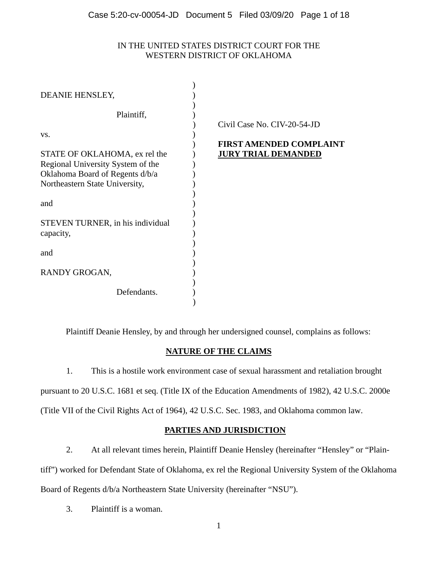# IN THE UNITED STATES DISTRICT COURT FOR THE WESTERN DISTRICT OF OKLAHOMA

| DEANIE HENSLEY,                                                                                                            |                                                                                             |
|----------------------------------------------------------------------------------------------------------------------------|---------------------------------------------------------------------------------------------|
| Plaintiff,<br>VS.<br>STATE OF OKLAHOMA, ex rel the<br>Regional University System of the<br>Oklahoma Board of Regents d/b/a | Civil Case No. CIV-20-54-JD<br><b>FIRST AMENDED COMPLAINT</b><br><b>JURY TRIAL DEMANDED</b> |
| Northeastern State University,<br>and<br>STEVEN TURNER, in his individual<br>capacity,                                     |                                                                                             |
| and                                                                                                                        |                                                                                             |
| RANDY GROGAN,                                                                                                              |                                                                                             |
| Defendants.                                                                                                                |                                                                                             |

Plaintiff Deanie Hensley, by and through her undersigned counsel, complains as follows:

# **NATURE OF THE CLAIMS**

1. This is a hostile work environment case of sexual harassment and retaliation brought pursuant to 20 U.S.C. 1681 et seq. (Title IX of the Education Amendments of 1982), 42 U.S.C. 2000e (Title VII of the Civil Rights Act of 1964), 42 U.S.C. Sec. 1983, and Oklahoma common law.

# **PARTIES AND JURISDICTION**

2. At all relevant times herein, Plaintiff Deanie Hensley (hereinafter "Hensley" or "Plain-

tiff") worked for Defendant State of Oklahoma, ex rel the Regional University System of the Oklahoma

Board of Regents d/b/a Northeastern State University (hereinafter "NSU").

3. Plaintiff is a woman.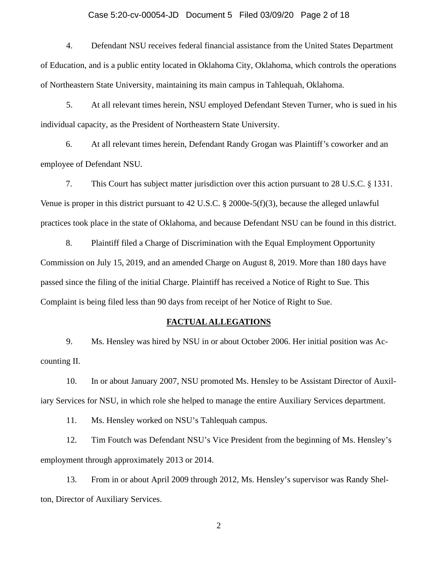#### Case 5:20-cv-00054-JD Document 5 Filed 03/09/20 Page 2 of 18

4. Defendant NSU receives federal financial assistance from the United States Department of Education, and is a public entity located in Oklahoma City, Oklahoma, which controls the operations of Northeastern State University, maintaining its main campus in Tahlequah, Oklahoma.

5. At all relevant times herein, NSU employed Defendant Steven Turner, who is sued in his individual capacity, as the President of Northeastern State University.

6. At all relevant times herein, Defendant Randy Grogan was Plaintiff's coworker and an employee of Defendant NSU.

7. This Court has subject matter jurisdiction over this action pursuant to 28 U.S.C. § 1331. Venue is proper in this district pursuant to 42 U.S.C. § 2000e-5(f)(3), because the alleged unlawful practices took place in the state of Oklahoma, and because Defendant NSU can be found in this district.

8. Plaintiff filed a Charge of Discrimination with the Equal Employment Opportunity Commission on July 15, 2019, and an amended Charge on August 8, 2019. More than 180 days have passed since the filing of the initial Charge. Plaintiff has received a Notice of Right to Sue. This Complaint is being filed less than 90 days from receipt of her Notice of Right to Sue.

### **FACTUAL ALLEGATIONS**

9. Ms. Hensley was hired by NSU in or about October 2006. Her initial position was Accounting II.

10. In or about January 2007, NSU promoted Ms. Hensley to be Assistant Director of Auxiliary Services for NSU, in which role she helped to manage the entire Auxiliary Services department.

11. Ms. Hensley worked on NSU's Tahlequah campus.

12. Tim Foutch was Defendant NSU's Vice President from the beginning of Ms. Hensley's employment through approximately 2013 or 2014.

13. From in or about April 2009 through 2012, Ms. Hensley's supervisor was Randy Shelton, Director of Auxiliary Services.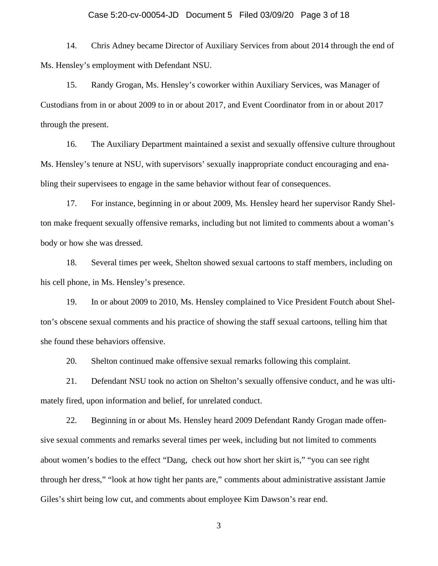#### Case 5:20-cv-00054-JD Document 5 Filed 03/09/20 Page 3 of 18

14. Chris Adney became Director of Auxiliary Services from about 2014 through the end of Ms. Hensley's employment with Defendant NSU.

15. Randy Grogan, Ms. Hensley's coworker within Auxiliary Services, was Manager of Custodians from in or about 2009 to in or about 2017, and Event Coordinator from in or about 2017 through the present.

16. The Auxiliary Department maintained a sexist and sexually offensive culture throughout Ms. Hensley's tenure at NSU, with supervisors' sexually inappropriate conduct encouraging and enabling their supervisees to engage in the same behavior without fear of consequences.

17. For instance, beginning in or about 2009, Ms. Hensley heard her supervisor Randy Shelton make frequent sexually offensive remarks, including but not limited to comments about a woman's body or how she was dressed.

18. Several times per week, Shelton showed sexual cartoons to staff members, including on his cell phone, in Ms. Hensley's presence.

19. In or about 2009 to 2010, Ms. Hensley complained to Vice President Foutch about Shelton's obscene sexual comments and his practice of showing the staff sexual cartoons, telling him that she found these behaviors offensive.

20. Shelton continued make offensive sexual remarks following this complaint.

21. Defendant NSU took no action on Shelton's sexually offensive conduct, and he was ultimately fired, upon information and belief, for unrelated conduct.

22. Beginning in or about Ms. Hensley heard 2009 Defendant Randy Grogan made offensive sexual comments and remarks several times per week, including but not limited to comments about women's bodies to the effect "Dang, check out how short her skirt is," "you can see right through her dress," "look at how tight her pants are," comments about administrative assistant Jamie Giles's shirt being low cut, and comments about employee Kim Dawson's rear end.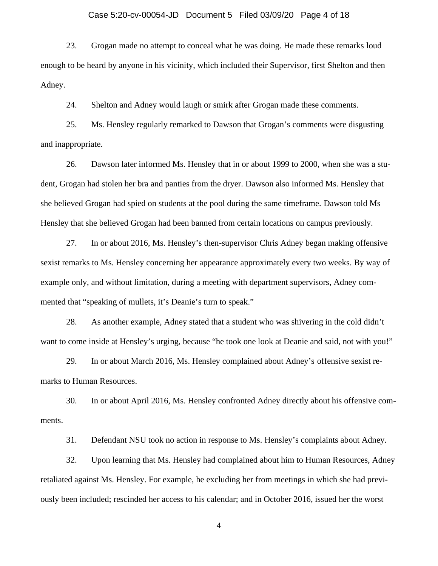#### Case 5:20-cv-00054-JD Document 5 Filed 03/09/20 Page 4 of 18

23. Grogan made no attempt to conceal what he was doing. He made these remarks loud enough to be heard by anyone in his vicinity, which included their Supervisor, first Shelton and then Adney.<br>24. Shelton and Adney would laugh or smirk after Grogan made these comments.

25. Ms. Hensley regularly remarked to Dawson that Grogan's comments were disgusting and inappropriate.

26. Dawson later informed Ms. Hensley that in or about 1999 to 2000, when she was a student, Grogan had stolen her bra and panties from the dryer. Dawson also informed Ms. Hensley that she believed Grogan had spied on students at the pool during the same timeframe. Dawson told Ms Hensley that she believed Grogan had been banned from certain locations on campus previously.

27. In or about 2016, Ms. Hensley's then-supervisor Chris Adney began making offensive sexist remarks to Ms. Hensley concerning her appearance approximately every two weeks. By way of example only, and without limitation, during a meeting with department supervisors, Adney commented that "speaking of mullets, it's Deanie's turn to speak."

28. As another example, Adney stated that a student who was shivering in the cold didn't want to come inside at Hensley's urging, because "he took one look at Deanie and said, not with you!"

29. In or about March 2016, Ms. Hensley complained about Adney's offensive sexist remarks to Human Resources.

30. In or about April 2016, Ms. Hensley confronted Adney directly about his offensive comments.

31. Defendant NSU took no action in response to Ms. Hensley's complaints about Adney.

32. Upon learning that Ms. Hensley had complained about him to Human Resources, Adney retaliated against Ms. Hensley. For example, he excluding her from meetings in which she had previously been included; rescinded her access to his calendar; and in October 2016, issued her the worst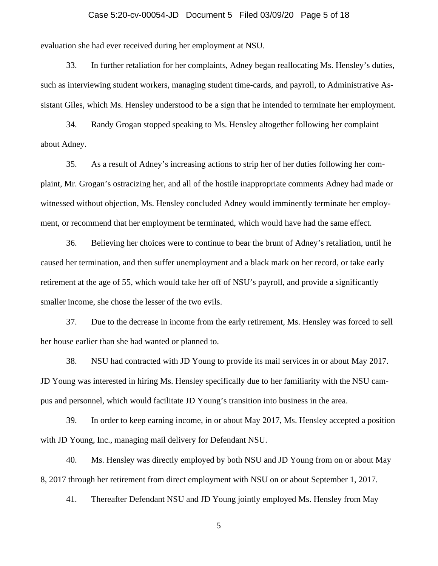#### Case 5:20-cv-00054-JD Document 5 Filed 03/09/20 Page 5 of 18

evaluation she had ever received during her employment at NSU.

33. In further retaliation for her complaints, Adney began reallocating Ms. Hensley's duties, such as interviewing student workers, managing student time-cards, and payroll, to Administrative Assistant Giles, which Ms. Hensley understood to be a sign that he intended to terminate her employment.

34. Randy Grogan stopped speaking to Ms. Hensley altogether following her complaint about Adney.

35. As a result of Adney's increasing actions to strip her of her duties following her complaint, Mr. Grogan's ostracizing her, and all of the hostile inappropriate comments Adney had made or witnessed without objection, Ms. Hensley concluded Adney would imminently terminate her employment, or recommend that her employment be terminated, which would have had the same effect.

36. Believing her choices were to continue to bear the brunt of Adney's retaliation, until he caused her termination, and then suffer unemployment and a black mark on her record, or take early retirement at the age of 55, which would take her off of NSU's payroll, and provide a significantly smaller income, she chose the lesser of the two evils.

37. Due to the decrease in income from the early retirement, Ms. Hensley was forced to sell her house earlier than she had wanted or planned to.

38. NSU had contracted with JD Young to provide its mail services in or about May 2017. JD Young was interested in hiring Ms. Hensley specifically due to her familiarity with the NSU campus and personnel, which would facilitate JD Young's transition into business in the area.

39. In order to keep earning income, in or about May 2017, Ms. Hensley accepted a position with JD Young, Inc., managing mail delivery for Defendant NSU.

40. Ms. Hensley was directly employed by both NSU and JD Young from on or about May 8, 2017 through her retirement from direct employment with NSU on or about September 1, 2017.

41. Thereafter Defendant NSU and JD Young jointly employed Ms. Hensley from May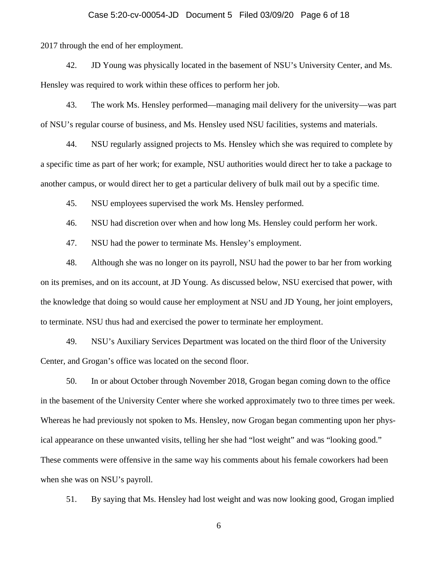#### Case 5:20-cv-00054-JD Document 5 Filed 03/09/20 Page 6 of 18

2017 through the end of her employment.

42. JD Young was physically located in the basement of NSU's University Center, and Ms. Hensley was required to work within these offices to perform her job.

43. The work Ms. Hensley performed—managing mail delivery for the university—was part of NSU's regular course of business, and Ms. Hensley used NSU facilities, systems and materials.

44. NSU regularly assigned projects to Ms. Hensley which she was required to complete by a specific time as part of her work; for example, NSU authorities would direct her to take a package to another campus, or would direct her to get a particular delivery of bulk mail out by a specific time.

45. NSU employees supervised the work Ms. Hensley performed.

46. NSU had discretion over when and how long Ms. Hensley could perform her work.

47. NSU had the power to terminate Ms. Hensley's employment.

48. Although she was no longer on its payroll, NSU had the power to bar her from working on its premises, and on its account, at JD Young. As discussed below, NSU exercised that power, with the knowledge that doing so would cause her employment at NSU and JD Young, her joint employers, to terminate. NSU thus had and exercised the power to terminate her employment.

49. NSU's Auxiliary Services Department was located on the third floor of the University Center, and Grogan's office was located on the second floor.

50. In or about October through November 2018, Grogan began coming down to the office in the basement of the University Center where she worked approximately two to three times per week. Whereas he had previously not spoken to Ms. Hensley, now Grogan began commenting upon her physical appearance on these unwanted visits, telling her she had "lost weight" and was "looking good." These comments were offensive in the same way his comments about his female coworkers had been when she was on NSU's payroll.

51. By saying that Ms. Hensley had lost weight and was now looking good, Grogan implied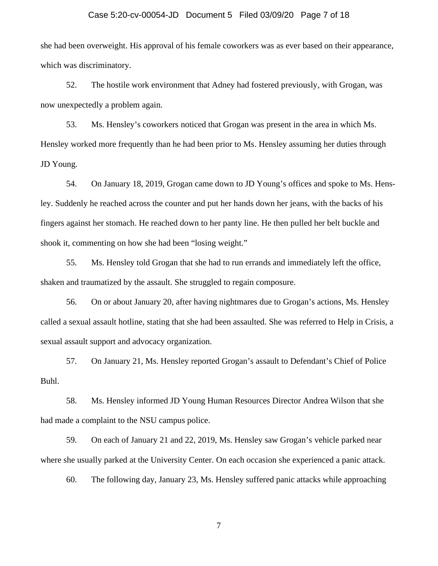#### Case 5:20-cv-00054-JD Document 5 Filed 03/09/20 Page 7 of 18

she had been overweight. His approval of his female coworkers was as ever based on their appearance, which was discriminatory.

52. The hostile work environment that Adney had fostered previously, with Grogan, was now unexpectedly a problem again.

53. Ms. Hensley's coworkers noticed that Grogan was present in the area in which Ms. Hensley worked more frequently than he had been prior to Ms. Hensley assuming her duties through JD Young.

54. On January 18, 2019, Grogan came down to JD Young's offices and spoke to Ms. Hensley. Suddenly he reached across the counter and put her hands down her jeans, with the backs of his fingers against her stomach. He reached down to her panty line. He then pulled her belt buckle and shook it, commenting on how she had been "losing weight."

55. Ms. Hensley told Grogan that she had to run errands and immediately left the office, shaken and traumatized by the assault. She struggled to regain composure.

56. On or about January 20, after having nightmares due to Grogan's actions, Ms. Hensley called a sexual assault hotline, stating that she had been assaulted. She was referred to Help in Crisis, a sexual assault support and advocacy organization.

57. On January 21, Ms. Hensley reported Grogan's assault to Defendant's Chief of Police Buhl.

58. Ms. Hensley informed JD Young Human Resources Director Andrea Wilson that she had made a complaint to the NSU campus police.

59. On each of January 21 and 22, 2019, Ms. Hensley saw Grogan's vehicle parked near where she usually parked at the University Center. On each occasion she experienced a panic attack.

60. The following day, January 23, Ms. Hensley suffered panic attacks while approaching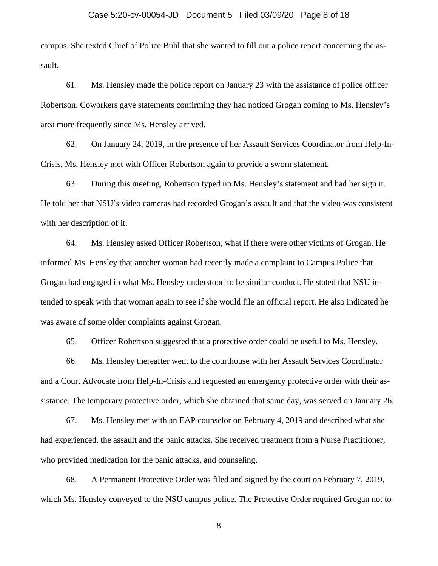#### Case 5:20-cv-00054-JD Document 5 Filed 03/09/20 Page 8 of 18

campus. She texted Chief of Police Buhl that she wanted to fill out a police report concerning the assault.

61. Ms. Hensley made the police report on January 23 with the assistance of police officer Robertson. Coworkers gave statements confirming they had noticed Grogan coming to Ms. Hensley's area more frequently since Ms. Hensley arrived.

62. On January 24, 2019, in the presence of her Assault Services Coordinator from Help-In- Crisis, Ms. Hensley met with Officer Robertson again to provide a sworn statement.

63. During this meeting, Robertson typed up Ms. Hensley's statement and had her sign it. He told her that NSU's video cameras had recorded Grogan's assault and that the video was consistent with her description of it.

64. Ms. Hensley asked Officer Robertson, what if there were other victims of Grogan. He informed Ms. Hensley that another woman had recently made a complaint to Campus Police that Grogan had engaged in what Ms. Hensley understood to be similar conduct. He stated that NSU intended to speak with that woman again to see if she would file an official report. He also indicated he was aware of some older complaints against Grogan.

65. Officer Robertson suggested that a protective order could be useful to Ms. Hensley.

66. Ms. Hensley thereafter went to the courthouse with her Assault Services Coordinator and a Court Advocate from Help-In-Crisis and requested an emergency protective order with their assistance. The temporary protective order, which she obtained that same day, was served on January 26.

67. Ms. Hensley met with an EAP counselor on February 4, 2019 and described what she had experienced, the assault and the panic attacks. She received treatment from a Nurse Practitioner, who provided medication for the panic attacks, and counseling.

68. A Permanent Protective Order was filed and signed by the court on February 7, 2019, which Ms. Hensley conveyed to the NSU campus police. The Protective Order required Grogan not to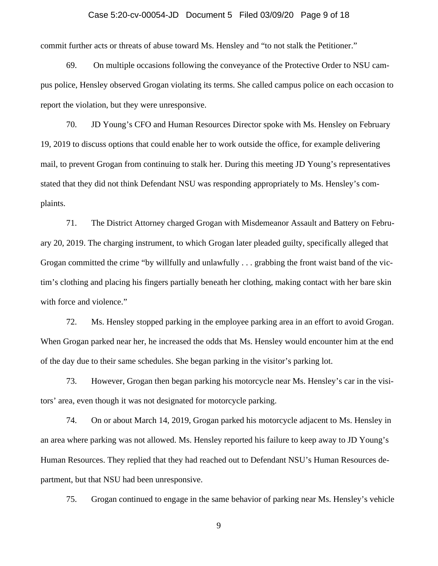#### Case 5:20-cv-00054-JD Document 5 Filed 03/09/20 Page 9 of 18

commit further acts or threats of abuse toward Ms. Hensley and "to not stalk the Petitioner."

69. On multiple occasions following the conveyance of the Protective Order to NSU campus police, Hensley observed Grogan violating its terms. She called campus police on each occasion to report the violation, but they were unresponsive.

70. JD Young's CFO and Human Resources Director spoke with Ms. Hensley on February 19, 2019 to discuss options that could enable her to work outside the office, for example delivering mail, to prevent Grogan from continuing to stalk her. During this meeting JD Young's representatives stated that they did not think Defendant NSU was responding appropriately to Ms. Hensley's complaints.

71. The District Attorney charged Grogan with Misdemeanor Assault and Battery on February 20, 2019. The charging instrument, to which Grogan later pleaded guilty, specifically alleged that Grogan committed the crime "by willfully and unlawfully . . . grabbing the front waist band of the victim's clothing and placing his fingers partially beneath her clothing, making contact with her bare skin with force and violence."

72. Ms. Hensley stopped parking in the employee parking area in an effort to avoid Grogan. When Grogan parked near her, he increased the odds that Ms. Hensley would encounter him at the end of the day due to their same schedules. She began parking in the visitor's parking lot.

73. However, Grogan then began parking his motorcycle near Ms. Hensley's car in the visitors' area, even though it was not designated for motorcycle parking.

74. On or about March 14, 2019, Grogan parked his motorcycle adjacent to Ms. Hensley in an area where parking was not allowed. Ms. Hensley reported his failure to keep away to JD Young's Human Resources. They replied that they had reached out to Defendant NSU's Human Resources department, but that NSU had been unresponsive.

75. Grogan continued to engage in the same behavior of parking near Ms. Hensley's vehicle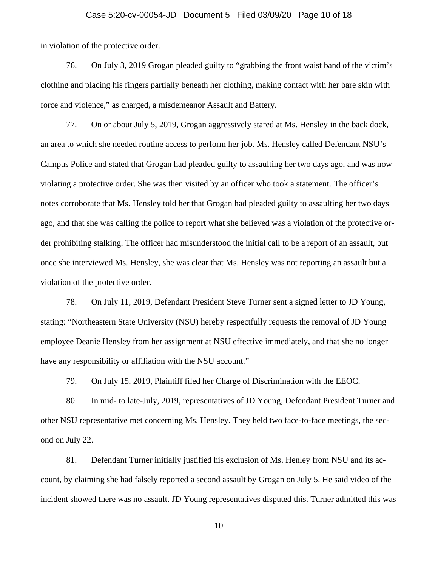#### Case 5:20-cv-00054-JD Document 5 Filed 03/09/20 Page 10 of 18

in violation of the protective order.

76. On July 3, 2019 Grogan pleaded guilty to "grabbing the front waist band of the victim's clothing and placing his fingers partially beneath her clothing, making contact with her bare skin with force and violence," as charged, a misdemeanor Assault and Battery.

77. On or about July 5, 2019, Grogan aggressively stared at Ms. Hensley in the back dock, an area to which she needed routine access to perform her job. Ms. Hensley called Defendant NSU's Campus Police and stated that Grogan had pleaded guilty to assaulting her two days ago, and was now violating a protective order. She was then visited by an officer who took a statement. The officer's notes corroborate that Ms. Hensley told her that Grogan had pleaded guilty to assaulting her two days ago, and that she was calling the police to report what she believed was a violation of the protective order prohibiting stalking. The officer had misunderstood the initial call to be a report of an assault, but once she interviewed Ms. Hensley, she was clear that Ms. Hensley was not reporting an assault but a violation of the protective order.

78. On July 11, 2019, Defendant President Steve Turner sent a signed letter to JD Young, stating: "Northeastern State University (NSU) hereby respectfully requests the removal of JD Young employee Deanie Hensley from her assignment at NSU effective immediately, and that she no longer have any responsibility or affiliation with the NSU account."

79. On July 15, 2019, Plaintiff filed her Charge of Discrimination with the EEOC.

80. In mid- to late-July, 2019, representatives of JD Young, Defendant President Turner and other NSU representative met concerning Ms. Hensley. They held two face-to-face meetings, the second on July 22.

81. Defendant Turner initially justified his exclusion of Ms. Henley from NSU and its account, by claiming she had falsely reported a second assault by Grogan on July 5. He said video of the incident showed there was no assault. JD Young representatives disputed this. Turner admitted this was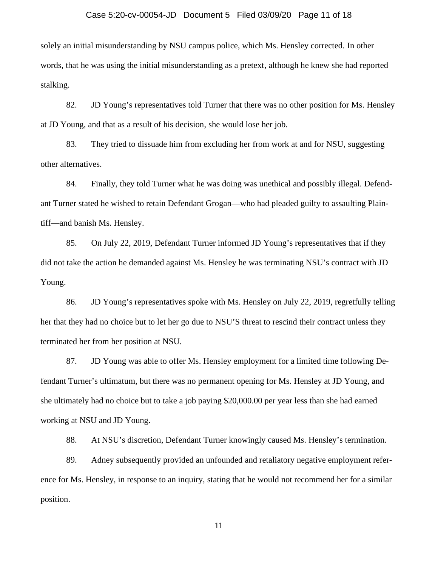#### Case 5:20-cv-00054-JD Document 5 Filed 03/09/20 Page 11 of 18

solely an initial misunderstanding by NSU campus police, which Ms. Hensley corrected. In other words, that he was using the initial misunderstanding as a pretext, although he knew she had reported stalking.

82. JD Young's representatives told Turner that there was no other position for Ms. Hensley at JD Young, and that as a result of his decision, she would lose her job.

83. They tried to dissuade him from excluding her from work at and for NSU, suggesting other alternatives.

84. Finally, they told Turner what he was doing was unethical and possibly illegal. Defendant Turner stated he wished to retain Defendant Grogan—who had pleaded guilty to assaulting Plaintiff—and banish Ms. Hensley.

85. On July 22, 2019, Defendant Turner informed JD Young's representatives that if they did not take the action he demanded against Ms. Hensley he was terminating NSU's contract with JD Young.

86. JD Young's representatives spoke with Ms. Hensley on July 22, 2019, regretfully telling her that they had no choice but to let her go due to NSU'S threat to rescind their contract unless they terminated her from her position at NSU.

87. JD Young was able to offer Ms. Hensley employment for a limited time following Defendant Turner's ultimatum, but there was no permanent opening for Ms. Hensley at JD Young, and she ultimately had no choice but to take a job paying \$20,000.00 per year less than she had earned working at NSU and JD Young.

88. At NSU's discretion, Defendant Turner knowingly caused Ms. Hensley's termination.

89. Adney subsequently provided an unfounded and retaliatory negative employment reference for Ms. Hensley, in response to an inquiry, stating that he would not recommend her for a similar position.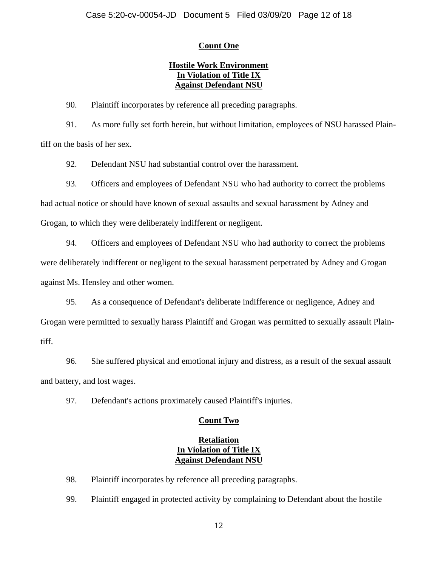# **Count One**

# **Hostile Work Environment In Violation of Title IX Against Defendant NSU**

90. Plaintiff incorporates by reference all preceding paragraphs.

91. As more fully set forth herein, but without limitation, employees of NSU harassed Plaintiff on the basis of her sex.

92. Defendant NSU had substantial control over the harassment.

93. Officers and employees of Defendant NSU who had authority to correct the problems

had actual notice or should have known of sexual assaults and sexual harassment by Adney and

Grogan, to which they were deliberately indifferent or negligent.

94. Officers and employees of Defendant NSU who had authority to correct the problems were deliberately indifferent or negligent to the sexual harassment perpetrated by Adney and Grogan against Ms. Hensley and other women.

95. As a consequence of Defendant's deliberate indifference or negligence, Adney and Grogan were permitted to sexually harass Plaintiff and Grogan was permitted to sexually assault Plaintiff.

96. She suffered physical and emotional injury and distress, as a result of the sexual assault and battery, and lost wages.

97. Defendant's actions proximately caused Plaintiff's injuries.

# **Count Two**

# **Retaliation In Violation of Title IX Against Defendant NSU**

98. Plaintiff incorporates by reference all preceding paragraphs.

99. Plaintiff engaged in protected activity by complaining to Defendant about the hostile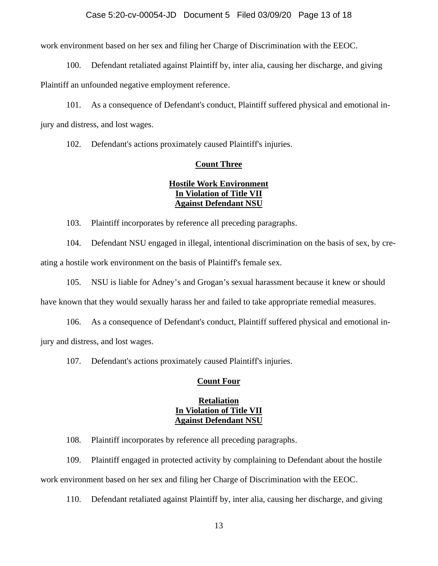### Case 5:20-cv-00054-JD Document 5 Filed 03/09/20 Page 13 of 18

work environment based on her sex and filing her Charge of Discrimination with the EEOC.

100. Defendant retaliated against Plaintiff by, inter alia, causing her discharge, and giving

Plaintiff an unfounded negative employment reference.

101. As a consequence of Defendant's conduct, Plaintiff suffered physical and emotional injury and distress, and lost wages.

102. Defendant's actions proximately caused Plaintiff's injuries.

#### **Count Three**

# **Hostile Work Environment In Violation of Title VII Against Defendant NSU**

103. Plaintiff incorporates by reference all preceding paragraphs.

104. Defendant NSU engaged in illegal, intentional discrimination on the basis of sex, by creating a hostile work environment on the basis of Plaintiff's female sex.

105. NSU is liable for Adney's and Grogan's sexual harassment because it knew or should

have known that they would sexually harass her and failed to take appropriate remedial measures.

106. As a consequence of Defendant's conduct, Plaintiff suffered physical and emotional injury and distress, and lost wages.

107. Defendant's actions proximately caused Plaintiff's injuries.

## **Count Four**

## **Retaliation In Violation of Title VII Against Defendant NSU**

108. Plaintiff incorporates by reference all preceding paragraphs.

109. Plaintiff engaged in protected activity by complaining to Defendant about the hostile work environment based on her sex and filing her Charge of Discrimination with the EEOC.

110. Defendant retaliated against Plaintiff by, inter alia, causing her discharge, and giving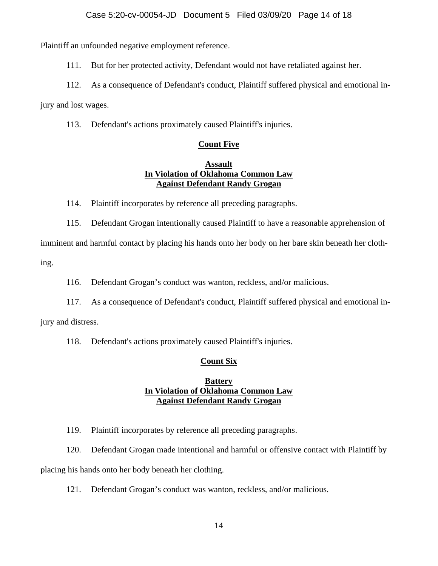Plaintiff an unfounded negative employment reference.

111. But for her protected activity, Defendant would not have retaliated against her.

112. As a consequence of Defendant's conduct, Plaintiff suffered physical and emotional in-

jury and lost wages.

113. Defendant's actions proximately caused Plaintiff's injuries.

# **Count Five**

## **Assault In Violation of Oklahoma Common Law Against Defendant Randy Grogan**

114. Plaintiff incorporates by reference all preceding paragraphs.

115. Defendant Grogan intentionally caused Plaintiff to have a reasonable apprehension of imminent and harmful contact by placing his hands onto her body on her bare skin beneath her clothing.

116. Defendant Grogan's conduct was wanton, reckless, and/or malicious.

117. As a consequence of Defendant's conduct, Plaintiff suffered physical and emotional in-

jury and distress.

118. Defendant's actions proximately caused Plaintiff's injuries.

# **Count Six**

# **Battery In Violation of Oklahoma Common Law Against Defendant Randy Grogan**

119. Plaintiff incorporates by reference all preceding paragraphs.

120. Defendant Grogan made intentional and harmful or offensive contact with Plaintiff by

placing his hands onto her body beneath her clothing.

121. Defendant Grogan's conduct was wanton, reckless, and/or malicious.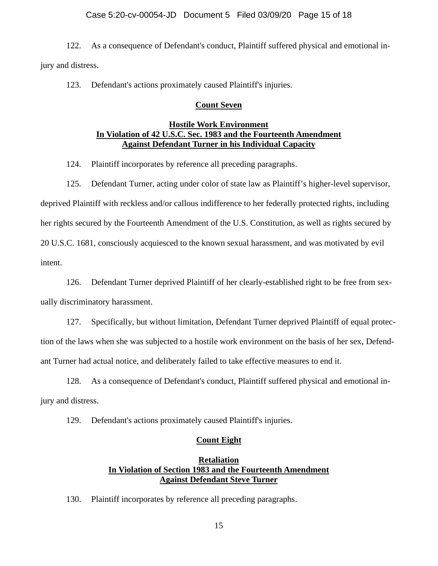### Case 5:20-cv-00054-JD Document 5 Filed 03/09/20 Page 15 of 18

122. As a consequence of Defendant's conduct, Plaintiff suffered physical and emotional injury and distress.

123. Defendant's actions proximately caused Plaintiff's injuries.

#### **Count Seven**

## **Hostile Work Environment In Violation of 42 U.S.C. Sec. 1983 and the Fourteenth Amendment Against Defendant Turner in his Individual Capacity**

124. Plaintiff incorporates by reference all preceding paragraphs.

125. Defendant Turner, acting under color of state law as Plaintiff's higher-level supervisor,

deprived Plaintiff with reckless and/or callous indifference to her federally protected rights, including her rights secured by the Fourteenth Amendment of the U.S. Constitution, as well as rights secured by 20 U.S.C. 1681, consciously acquiesced to the known sexual harassment, and was motivated by evil intent.

126. Defendant Turner deprived Plaintiff of her clearly-established right to be free from sexually discriminatory harassment.

127. Specifically, but without limitation, Defendant Turner deprived Plaintiff of equal protection of the laws when she was subjected to a hostile work environment on the basis of her sex, Defendant Turner had actual notice, and deliberately failed to take effective measures to end it.

128. As a consequence of Defendant's conduct, Plaintiff suffered physical and emotional injury and distress.

129. Defendant's actions proximately caused Plaintiff's injuries.

### **Count Eight**

# **Retaliation In Violation of Section 1983 and the Fourteenth Amendment Against Defendant Steve Turner**

130. Plaintiff incorporates by reference all preceding paragraphs.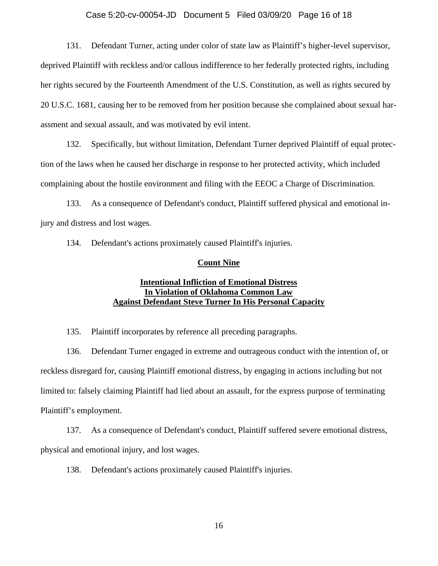#### Case 5:20-cv-00054-JD Document 5 Filed 03/09/20 Page 16 of 18

131. Defendant Turner, acting under color of state law as Plaintiff's higher-level supervisor, deprived Plaintiff with reckless and/or callous indifference to her federally protected rights, including her rights secured by the Fourteenth Amendment of the U.S. Constitution, as well as rights secured by 20 U.S.C. 1681, causing her to be removed from her position because she complained about sexual harassment and sexual assault, and was motivated by evil intent.

132. Specifically, but without limitation, Defendant Turner deprived Plaintiff of equal protection of the laws when he caused her discharge in response to her protected activity, which included complaining about the hostile environment and filing with the EEOC a Charge of Discrimination.

133. As a consequence of Defendant's conduct, Plaintiff suffered physical and emotional injury and distress and lost wages.

134. Defendant's actions proximately caused Plaintiff's injuries.

#### **Count Nine**

## **Intentional Infliction of Emotional Distress In Violation of Oklahoma Common Law Against Defendant Steve Turner In His Personal Capacity**

135. Plaintiff incorporates by reference all preceding paragraphs.

136. Defendant Turner engaged in extreme and outrageous conduct with the intention of, or reckless disregard for, causing Plaintiff emotional distress, by engaging in actions including but not limited to: falsely claiming Plaintiff had lied about an assault, for the express purpose of terminating Plaintiff's employment.

137. As a consequence of Defendant's conduct, Plaintiff suffered severe emotional distress, physical and emotional injury, and lost wages.

138. Defendant's actions proximately caused Plaintiff's injuries.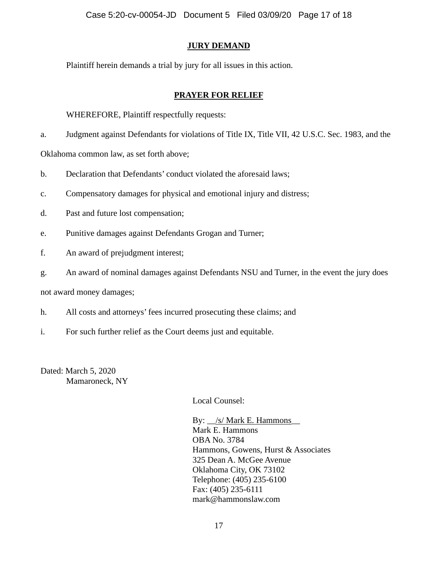# **JURY DEMAND**

Plaintiff herein demands a trial by jury for all issues in this action.

# **PRAYER FOR RELIEF**

## WHEREFORE, Plaintiff respectfully requests:

a. Judgment against Defendants for violations of Title IX, Title VII, 42 U.S.C. Sec. 1983, and the

Oklahoma common law, as set forth above;

- b. Declaration that Defendants' conduct violated the aforesaid laws;
- c. Compensatory damages for physical and emotional injury and distress;
- d. Past and future lost compensation;
- e. Punitive damages against Defendants Grogan and Turner;
- f. An award of prejudgment interest;
- g. An award of nominal damages against Defendants NSU and Turner, in the event the jury does

not award money damages;

- h. All costs and attorneys' fees incurred prosecuting these claims; and
- i. For such further relief as the Court deems just and equitable.

Dated: March 5, 2020 Mamaroneck, NY

Local Counsel:

By:  $\angle$ /s/ Mark E. Hammons Mark E. Hammons OBA No. 3784 Hammons, Gowens, Hurst & Associates 325 Dean A. McGee Avenue Oklahoma City, OK 73102 Telephone: (405) 235-6100 Fax: (405) 235-6111 mark@hammonslaw.com